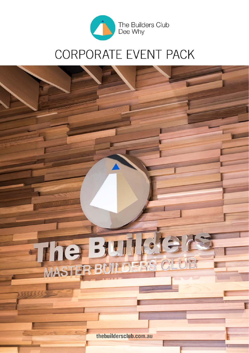

# CORPORATE EVENT PACK

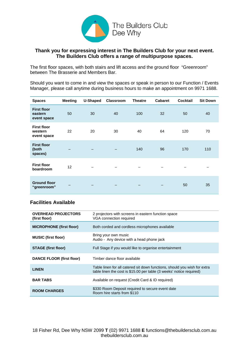

# **Thank you for expressing interest in The Builders Club for your next event. The Builders Club offers a range of multipurpose spaces.**

The first floor spaces, with both stairs and lift access and the ground floor "Greenroom" between The Brasserie and Members Bar.

Should you want to come in and view the spaces or speak in person to our Function / Events Manager, please call anytime during business hours to make an appointment on 9971 1688.

| <b>Spaces</b>                                | <b>Meeting</b> | <b>U-Shaped</b> | Classroom | <b>Theatre</b> | <b>Cabaret</b> | <b>Cocktail</b> | <b>Sit Down</b> |
|----------------------------------------------|----------------|-----------------|-----------|----------------|----------------|-----------------|-----------------|
| <b>First floor</b><br>eastern<br>event space | 50             | 30              | 40        | 100            | 32             | 50              | 40              |
| <b>First floor</b><br>western<br>event space | 22             | 20              | 30        | 40             | 64             | 120             | 70              |
| <b>First floor</b><br>(both<br>spaces)       |                |                 |           | 140            | 96             | 170             | 110             |
| <b>First floor</b><br>boardroom              | 12             |                 |           |                |                |                 |                 |
| <b>Ground floor</b><br>"greenroom"           |                |                 |           |                |                | 50              | 35              |

# **Facilities Available**

| <b>OVERHEAD PROJECTORS</b><br>(first floor) | 2 projectors with screens in eastern function space<br>VGA connection required                                                                     |
|---------------------------------------------|----------------------------------------------------------------------------------------------------------------------------------------------------|
| <b>MICROPHONE (first floor)</b>             | Both corded and cordless microphones available                                                                                                     |
| <b>MUSIC (first floor)</b>                  | Bring your own music<br>Audio - Any device with a head phone jack                                                                                  |
| <b>STAGE (first floor)</b>                  | Full Stage if you would like to organise entertainment                                                                                             |
| <b>DANCE FLOOR (first floor)</b>            | Timber dance floor available                                                                                                                       |
| <b>LINEN</b>                                | Table linen for all catered sit down functions, should you wish for extra<br>table linen the cost is $$15.00$ per table (3 weeks' notice required) |
| <b>BAR TABS</b>                             | Available on request (Credit Card & ID required)                                                                                                   |
| <b>ROOM CHARGES</b>                         | \$330 Room Deposit required to secure event date<br>Room hire starts from \$110                                                                    |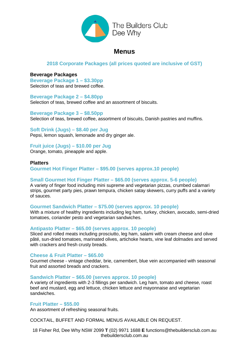

# **Menus**

# **2018 Corporate Packages (all prices quoted are inclusive of GST)**

# **Beverage Packages**

**Beverage Package 1 – \$3.30pp** Selection of teas and brewed coffee.

**Beverage Package 2 – \$4.80pp** Selection of teas, brewed coffee and an assortment of biscuits.

**Beverage Package 3 – \$8.50pp** Selection of teas, brewed coffee, assortment of biscuits, Danish pastries and muffins.

**Soft Drink (Jugs) – \$8.40 per Jug** Pepsi, lemon squash, lemonade and dry ginger ale.

**Fruit juice (Jugs) – \$10.00 per Jug**

Orange, tomato, pineapple and apple.

**Platters Gourmet Hot Finger Platter – \$95.00 (serves approx.10 people)**

# **Small Gourmet Hot Finger Platter – \$65.00 (serves approx. 5-6 people)**

A variety of finger food including mini supreme and vegetarian pizzas, crumbed calamari strips, gourmet party pies, prawn tempura, chicken satay skewers, curry puffs and a variety of sauces.

# **Gourmet Sandwich Platter – \$75.00 (serves approx. 10 people)**

With a mixture of healthy ingredients including leg ham, turkey, chicken, avocado, semi-dried tomatoes, coriander pesto and vegetarian sandwiches.

# **Antipasto Platter – \$65.00 (serves approx. 10 people)**

Sliced and rolled meats including prosciutto, leg ham, salami with cream cheese and olive pâté, sun-dried tomatoes, marinated olives, artichoke hearts, vine leaf dolmades and served with crackers and fresh crusty breads.

# **Cheese & Fruit Platter – \$65.00**

Gourmet cheese - vintage cheddar, brie, camembert, blue vein accompanied with seasonal fruit and assorted breads and crackers.

### **Sandwich Platter – \$65.00 (serves approx. 10 people)**

A variety of ingredients with 2-3 fillings per sandwich. Leg ham, tomato and cheese, roast beef and mustard, egg and lettuce, chicken lettuce and mayonnaise and vegetarian sandwiches.

# **Fruit Platter – \$55.00**

An assortment of refreshing seasonal fruits.

COCKTAIL, BUFFET AND FORMAL MENUS AVAILABLE ON REQUEST.

18 Fisher Rd, Dee Why NSW 2099 **T** (02) 9971 1688 **E** functions@thebuildersclub.com.au thebuildersclub.com.au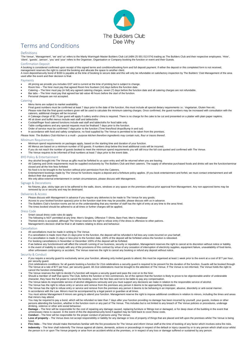# The Builders Club Dee Why

# Terms and Conditions

#### Definitions

'The Venue', 'Management', 'we' and 'us' refers to the Manly Warringah Master Builders Club Ltd (ABN 25 001 013 074) trading as The Builders Club and their respective employees. 'Hirer', 'client', 'guests', 'person', 'you' and 'your' refers to the Organiser, Organisation or Company booking the function or event and their Guests.

#### Confirmation Deposit

A booking is considered confirmed upon receipt of this signed terms and conditions/booking form and full deposit payment. If either the deposit or this completed form is not received,

management reserves the right to cancel the booking and allocate the space to another client.<br>A room deposit/security bond of \$330 is payable at the time of booking to secure date and this will only be refundable on satisf used after the event and their decision is final.

#### Payments

- All pricing we provide you includes GST and is current at the time of printing but is subject to change.
- Figure The hirer must pay that agreed Room hire fourteen (14) days before the function date.
- Catering The hirer must pay (in full) any agreed catering charges, seven (7) days before the function date and all catering charges are not refundable. • Bar tabs – The hirer must pay that agreed bar tab value 48 hours before the start of the function.
- Personal cheques are not accepted.

#### Catering

- 
- Menu items are subject to market availability.<br>● Final guest numbers must be confirmed at least 7 days prior to the date of the function, this must include all special dietary requirements i.e.: Vegetarian, Gluten free
- Please note that the final guest numbers given will be used to calculate the minimum catering charges. Once confirmed, the guest numbers may be increased with consultation with the
- caterers, additional charges will be incurred.<br>A Cakeage charge of \$2.75 per guest will apply if cutlery and/or china is required. There is no charge for the cake to be cut and presented on a platter with plain paper napki
- All sit down and buffet menus include wait staff and tablecloths
- Cocktail/finger food catered functions include wait staff and tablecloths for food table only.
- 
- Table configurations and any special requests must be finalised 7 days prior to the function. Order of service must be confirmed 7 days prior to the function (Time lines/food drops/Bump in and out)
- In accordance with food and safety compliance, no food supplied by The Venue is permitted to be taken from the premises.

*Please Note: The Builders Club Kitchen is a multi – purpose kitchen therefore ingredients may contain nuts, flour or traces thereof*.

#### Minimum Requirements

- 
- Minimum spend requirements on packages apply, based on the starting time and duration of your function.<br>• All Menus are based on a minimum number of 50 guests. If numbers drop below this level additional costs will
- If you do not reach the number of guests booked to meet the minimum spend requirements you will still incur the full cost quoted and confirmed with The Venue.
- The Venue requires to be informed of final numbers at least 7 days prior to the event date.

#### BYO Policy & Entertainment

- 
- Any alcohol brought into The Venue as gifts must be forfeited to us upon entry and will be returned when you are leaving.<br>All Catering and Drink requirements must be supplied exclusively by The Builders Club and their cate closed and all the hire fees forfeited
- No food is to be brought to the function without prior permission from the Caterers.
- Entertainment bookings made by The Venue for functions require a deposit and a forfeiture policy applies. (If you book entertainment and forfeit, we must contact entertainment and will deduct their due payment).
- We only allow external entertainment in certain circumstances, please discuss with Management.

#### Signage & Decorations

• No fixtures, glue, sticky tape are to be adhered to the walls, doors, windows or any space on the premises without prior approval from Management. Any non-approved items may be<br>removed by us or security and may be destro

#### Deliveries & Access

- Please discuss with Management in advance if you require any deliveries to be made to The Venue for any goods.
- 
- Access to your booked function space(s) prior to the function start time may be possible, please discuss with us in advance.<br>The Builders Club's function rooms are let on the understanding that any member of staff has the
- The times booked should be adhered to at all times or further charges will be applied.

#### Dress Code

- Smart casual dress code rules do apply.
- The following is NOT permitted at any time; Men's Singlets, Offensive T-Shirts, Bare Feet, Men's Headwear
- Themed dress is accepted, although The Venue reserves the right to refuse entry if the dress is offensive to other patrons.
- Management's decision shall be final in all matters relating to dress and behaviour.

#### Cancellation

- All cancellations must be made in writing to The Venue.
- 
- If a cancellation is made more than 21 days prior to the function, the deposit will be refunded in full less any costs incurred on your behalf.<br>• If a cancellation is made 21 days or less prior to the function date, 100
- For booking cancellations in November or December 100% of the deposit will be forfeited.
- If we believe any function/event will affect the smooth running of our business, security or reputation, Management reserves the right to cancel at its discretion without notice or liability. In the event of inability to comply with any of the provisions of this contract by virtue of any cessation of interruption of electricity supplies, equipment failure, unavailability of food items,
- other unforeseen contingency or accident, The Venue reserves the right to cancel any booking or refund any deposit without notice.

#### Security & Conduct

- If you require a security guard to exclusively serve your function, allowing only invited guests to attend, this must be organised at least 1 week prior to the event at a cost of \$77 per hour,
- per security guard. 21st celebrations conditions: for all guests booking a function for 21st celebrations a security guard is required to be present for the duration of the function. Guards will be booked through The Venue at a rate of \$77 per hour, per security guard. All 21st celebrations must be brought to the attention of The Venue. If The Venue is not informed, The Venue holds the right to cancel the function immediately.
- The Venue reserves the right to decide if a function will require a security guard and pass the cost on to the hirer.
- Should a member of staff that opens The Club, before the function or hire commences, be of the opinion that the function is likely to prove to be objectionable and/or of undesirable<br>character, they have the full power to c
- The Venue takes its responsible service of alcohol obligations seriously and you must support any decisions we make in relation to the responsible service of alcohol.
- The Venue has the right to refuse entry or service and remove from the premises any person it deems to be approaching intoxication.
- The Venue has the right to refuse entry or service and remove from the premises any person it deems to be behaving in an improper, abusive, disorderly or anti-social manner.
- In accordance with the Law. Minors must be accompanied by a legal parent or quardian at all times
- You must advise Management if minors are going to attend your function. Management reserve the right to impose additional conditions in relation to minors, including the times and areas that minors may attend.
- You may be required to pay a bond, which will be refunded no later than 7 days after your function providing no damage has been incurred by yourself, your guests, invitees or other<br>persons attending the function, whether i drinking, violence or other anti-social behaviour.
- Damage The hirer will be responsible for the cost of repairing any damage caused, replacing furniture or fittings lost or damaged, or for deep clean of the building in the event that<br>unnecessary mess is caused. In the • **Conduct** – The hirer will be responsible for the proper conduct of persons using The Venue.
- Loss of property The Venue does not accept responsibility or liability for any damage or loss of property of things that are placed and left upon the premises whilst The Venue is being hired.
- Fire risks The hirer should make themselves familiar with the fire procedures for The Venue and inform Venue staff at the time of booking of any factor which involves extra fire risks.
- Indemnity The hirer shall indemnify The Venue against all claims, demands, actions or proceedings in respect of the default or injury caused by or to any person which shall occur whilst<br>the person is in or upon The Ven